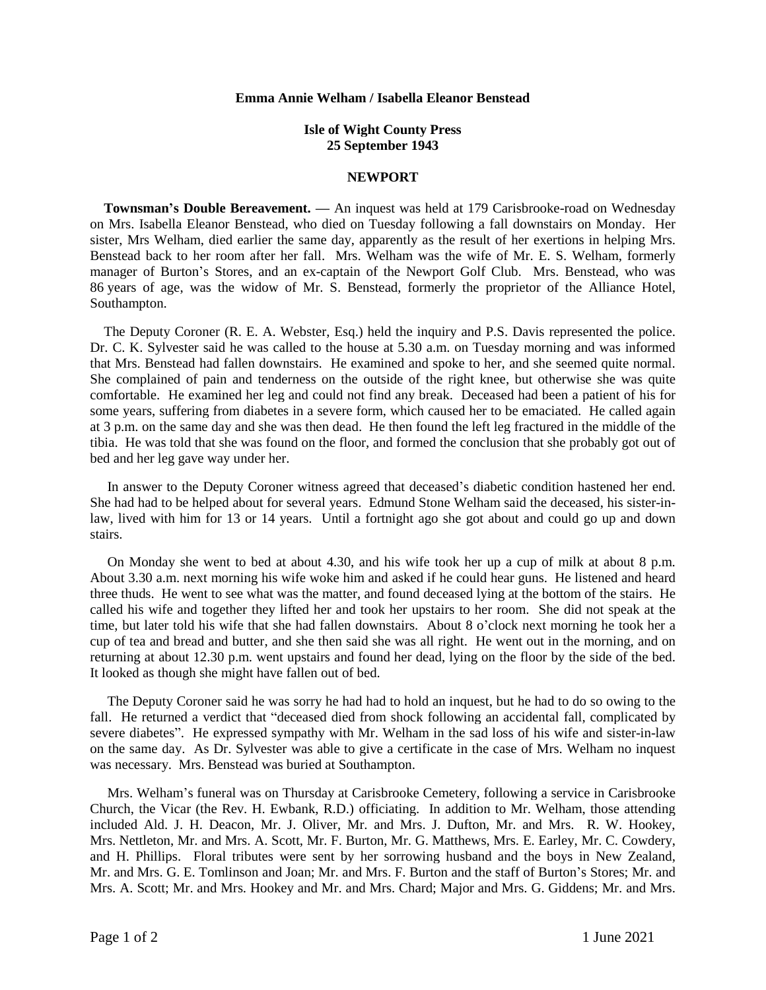## **Emma Annie Welham / Isabella Eleanor Benstead**

## **Isle of Wight County Press 25 September 1943**

## **NEWPORT**

 **Townsman's Double Bereavement. —** An inquest was held at 179 Carisbrooke-road on Wednesday on Mrs. Isabella Eleanor Benstead, who died on Tuesday following a fall downstairs on Monday. Her sister, Mrs Welham, died earlier the same day, apparently as the result of her exertions in helping Mrs. Benstead back to her room after her fall. Mrs. Welham was the wife of Mr. E. S. Welham, formerly manager of Burton's Stores, and an ex-captain of the Newport Golf Club. Mrs. Benstead, who was 86 years of age, was the widow of Mr. S. Benstead, formerly the proprietor of the Alliance Hotel, Southampton.

 The Deputy Coroner (R. E. A. Webster, Esq.) held the inquiry and P.S. Davis represented the police. Dr. C. K. Sylvester said he was called to the house at 5.30 a.m. on Tuesday morning and was informed that Mrs. Benstead had fallen downstairs. He examined and spoke to her, and she seemed quite normal. She complained of pain and tenderness on the outside of the right knee, but otherwise she was quite comfortable. He examined her leg and could not find any break. Deceased had been a patient of his for some years, suffering from diabetes in a severe form, which caused her to be emaciated. He called again at 3 p.m. on the same day and she was then dead. He then found the left leg fractured in the middle of the tibia. He was told that she was found on the floor, and formed the conclusion that she probably got out of bed and her leg gave way under her.

 In answer to the Deputy Coroner witness agreed that deceased's diabetic condition hastened her end. She had had to be helped about for several years. Edmund Stone Welham said the deceased, his sister-inlaw, lived with him for 13 or 14 years. Until a fortnight ago she got about and could go up and down stairs.

 On Monday she went to bed at about 4.30, and his wife took her up a cup of milk at about 8 p.m. About 3.30 a.m. next morning his wife woke him and asked if he could hear guns. He listened and heard three thuds. He went to see what was the matter, and found deceased lying at the bottom of the stairs. He called his wife and together they lifted her and took her upstairs to her room. She did not speak at the time, but later told his wife that she had fallen downstairs. About 8 o'clock next morning he took her a cup of tea and bread and butter, and she then said she was all right. He went out in the morning, and on returning at about 12.30 p.m. went upstairs and found her dead, lying on the floor by the side of the bed. It looked as though she might have fallen out of bed.

 The Deputy Coroner said he was sorry he had had to hold an inquest, but he had to do so owing to the fall. He returned a verdict that "deceased died from shock following an accidental fall, complicated by severe diabetes". He expressed sympathy with Mr. Welham in the sad loss of his wife and sister-in-law on the same day. As Dr. Sylvester was able to give a certificate in the case of Mrs. Welham no inquest was necessary. Mrs. Benstead was buried at Southampton.

 Mrs. Welham's funeral was on Thursday at Carisbrooke Cemetery, following a service in Carisbrooke Church, the Vicar (the Rev. H. Ewbank, R.D.) officiating. In addition to Mr. Welham, those attending included Ald. J. H. Deacon, Mr. J. Oliver, Mr. and Mrs. J. Dufton, Mr. and Mrs. R. W. Hookey, Mrs. Nettleton, Mr. and Mrs. A. Scott, Mr. F. Burton, Mr. G. Matthews, Mrs. E. Earley, Mr. C. Cowdery, and H. Phillips. Floral tributes were sent by her sorrowing husband and the boys in New Zealand, Mr. and Mrs. G. E. Tomlinson and Joan; Mr. and Mrs. F. Burton and the staff of Burton's Stores; Mr. and Mrs. A. Scott; Mr. and Mrs. Hookey and Mr. and Mrs. Chard; Major and Mrs. G. Giddens; Mr. and Mrs.